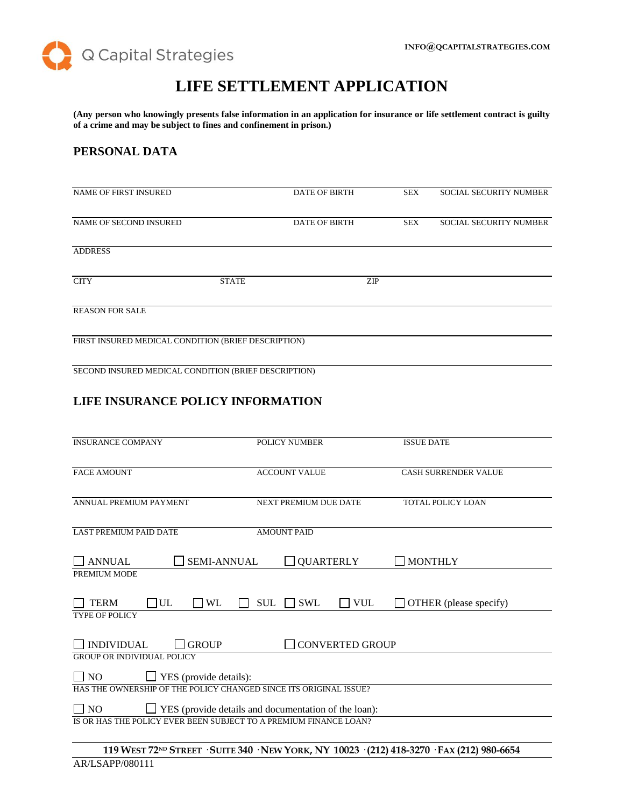

# **LIFE SETTLEMENT APPLICATION**

**(Any person who knowingly presents false information in an application for insurance or life settlement contract is guilty of a crime and may be subject to fines and confinement in prison.)**

### **PERSONAL DATA**

| <b>NAME OF FIRST INSURED</b>                        |              | <b>DATE OF BIRTH</b> | SEX        | <b>SOCIAL SECURITY NUMBER</b> |
|-----------------------------------------------------|--------------|----------------------|------------|-------------------------------|
| NAME OF SECOND INSURED                              |              | <b>DATE OF BIRTH</b> | <b>SEX</b> | <b>SOCIAL SECURITY NUMBER</b> |
| <b>ADDRESS</b>                                      |              |                      |            |                               |
| <b>CITY</b>                                         | <b>STATE</b> | <b>ZIP</b>           |            |                               |
| <b>REASON FOR SALE</b>                              |              |                      |            |                               |
| FIRST INSURED MEDICAL CONDITION (BRIEF DESCRIPTION) |              |                      |            |                               |
|                                                     |              |                      |            |                               |

SECOND INSURED MEDICAL CONDITION (BRIEF DESCRIPTION)

# **LIFE INSURANCE POLICY INFORMATION**

| <b>INSURANCE COMPANY</b>                                                 | <b>POLICY NUMBER</b>                   | <b>ISSUE DATE</b>           |  |
|--------------------------------------------------------------------------|----------------------------------------|-----------------------------|--|
| <b>FACE AMOUNT</b>                                                       | <b>ACCOUNT VALUE</b>                   | <b>CASH SURRENDER VALUE</b> |  |
| ANNUAL PREMIUM PAYMENT                                                   | <b>NEXT PREMIUM DUE DATE</b>           | <b>TOTAL POLICY LOAN</b>    |  |
| <b>LAST PREMIUM PAID DATE</b>                                            | <b>AMOUNT PAID</b>                     |                             |  |
| <b>ANNUAL</b><br>PREMIUM MODE                                            | SEMI-ANNUAL<br><b>QUARTERLY</b>        | <b>MONTHLY</b>              |  |
|                                                                          |                                        |                             |  |
| $UL$<br><b>WL</b><br><b>TERM</b>                                         | $\Box$ VUL<br><b>SUL</b><br><b>SWL</b> | OTHER (please specify)      |  |
| <b>TYPE OF POLICY</b>                                                    |                                        |                             |  |
| <b>INDIVIDUAL</b><br><b>GROUP</b>                                        | <b>CONVERTED GROUP</b>                 |                             |  |
| <b>GROUP OR INDIVIDUAL POLICY</b>                                        |                                        |                             |  |
| $\Box$ YES (provide details):<br>$\overline{\phantom{0}}$ NO             |                                        |                             |  |
| HAS THE OWNERSHIP OF THE POLICY CHANGED SINCE ITS ORIGINAL ISSUE?        |                                        |                             |  |
| <b>YES</b> (provide details and documentation of the loan):<br>$\Box$ NO |                                        |                             |  |
| IS OR HAS THE POLICY EVER BEEN SUBJECT TO A PREMIUM FINANCE LOAN?        |                                        |                             |  |
|                                                                          |                                        | $(4.12)$ $(0.000)$          |  |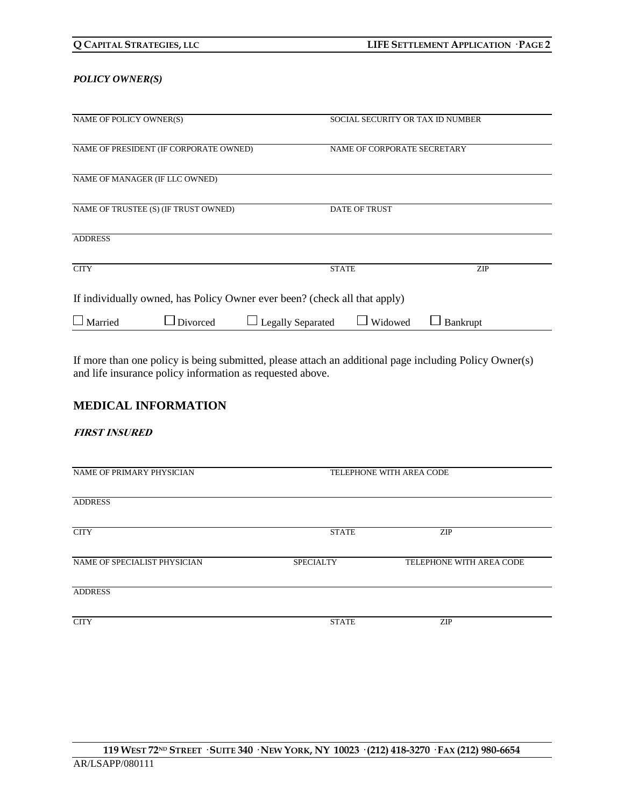#### *POLICY OWNER(S)*

| NAME OF POLICY OWNER(S)                                                   | SOCIAL SECURITY OR TAX ID NUMBER    |            |  |
|---------------------------------------------------------------------------|-------------------------------------|------------|--|
| NAME OF PRESIDENT (IF CORPORATE OWNED)                                    | NAME OF CORPORATE SECRETARY         |            |  |
| NAME OF MANAGER (IF LLC OWNED)                                            |                                     |            |  |
| NAME OF TRUSTEE (S) (IF TRUST OWNED)                                      | <b>DATE OF TRUST</b>                |            |  |
| <b>ADDRESS</b>                                                            |                                     |            |  |
| <b>CITY</b>                                                               | <b>STATE</b>                        | <b>ZIP</b> |  |
| If individually owned, has Policy Owner ever been? (check all that apply) |                                     |            |  |
| $\Box$ Married<br>$\Box$ Divorced                                         | <b>Legally Separated</b><br>Widowed | Bankrupt   |  |

If more than one policy is being submitted, please attach an additional page including Policy Owner(s) and life insurance policy information as requested above.

# **MEDICAL INFORMATION**

#### **FIRST INSURED**

| NAME OF PRIMARY PHYSICIAN    | TELEPHONE WITH AREA CODE |                          |  |
|------------------------------|--------------------------|--------------------------|--|
| <b>ADDRESS</b>               |                          |                          |  |
| <b>CITY</b>                  | <b>STATE</b>             | <b>ZIP</b>               |  |
| NAME OF SPECIALIST PHYSICIAN | <b>SPECIALTY</b>         | TELEPHONE WITH AREA CODE |  |
| <b>ADDRESS</b>               |                          |                          |  |
| <b>CITY</b>                  | <b>STATE</b>             | ZIP                      |  |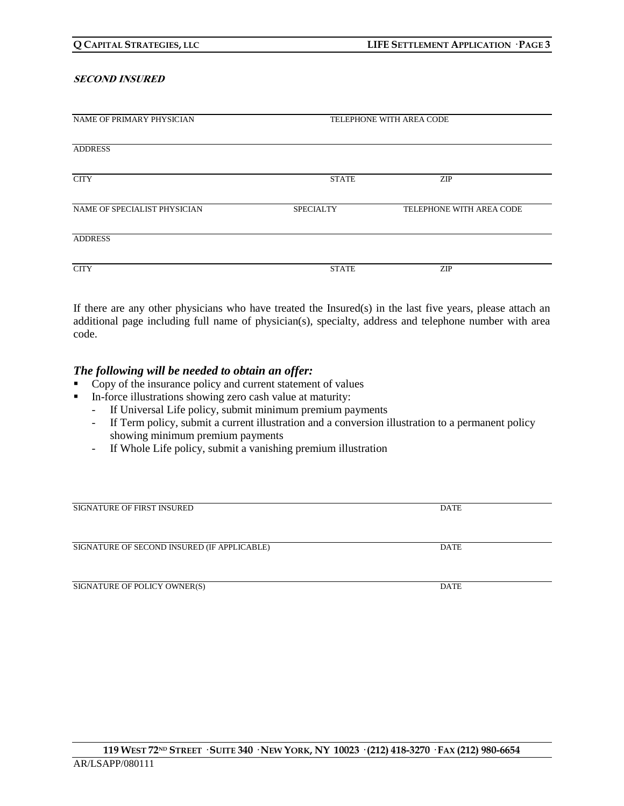#### **SECOND INSURED**

| NAME OF PRIMARY PHYSICIAN    |                  | TELEPHONE WITH AREA CODE |  |
|------------------------------|------------------|--------------------------|--|
|                              |                  |                          |  |
|                              |                  |                          |  |
| <b>ADDRESS</b>               |                  |                          |  |
|                              |                  |                          |  |
| <b>CITY</b>                  | <b>STATE</b>     | <b>ZIP</b>               |  |
|                              |                  |                          |  |
|                              |                  |                          |  |
| NAME OF SPECIALIST PHYSICIAN | <b>SPECIALTY</b> | TELEPHONE WITH AREA CODE |  |
|                              |                  |                          |  |
|                              |                  |                          |  |
| <b>ADDRESS</b>               |                  |                          |  |
|                              |                  |                          |  |
| <b>CITY</b>                  | <b>STATE</b>     | <b>ZIP</b>               |  |
|                              |                  |                          |  |

If there are any other physicians who have treated the Insured(s) in the last five years, please attach an additional page including full name of physician(s), specialty, address and telephone number with area code.

### *The following will be needed to obtain an offer:*

- Copy of the insurance policy and current statement of values
- In-force illustrations showing zero cash value at maturity:
	- If Universal Life policy, submit minimum premium payments
	- If Term policy, submit a current illustration and a conversion illustration to a permanent policy showing minimum premium payments
	- If Whole Life policy, submit a vanishing premium illustration

| <b>SIGNATURE OF FIRST INSURED</b>           | <b>DATE</b> |
|---------------------------------------------|-------------|
|                                             |             |
|                                             |             |
| SIGNATURE OF SECOND INSURED (IF APPLICABLE) | <b>DATE</b> |
|                                             |             |
|                                             |             |
| SIGNATURE OF POLICY OWNER(S)                | <b>DATE</b> |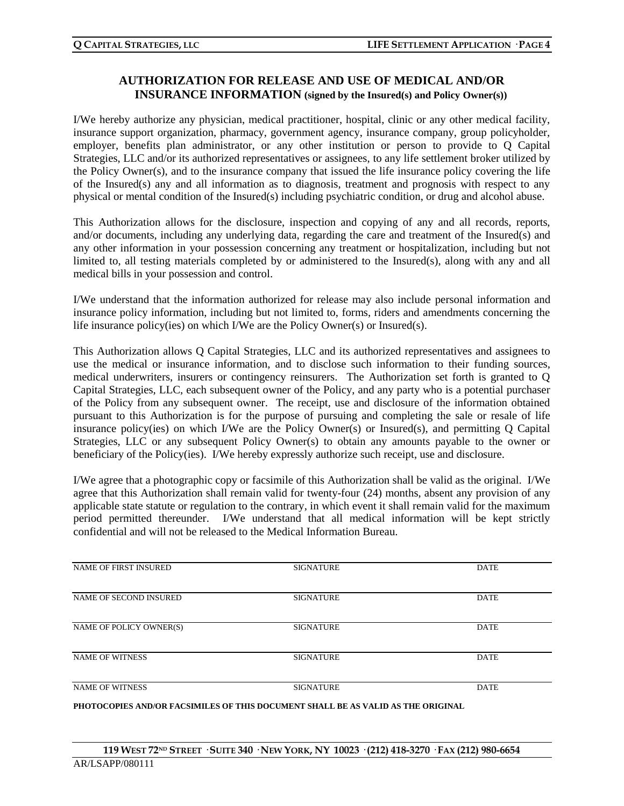# **AUTHORIZATION FOR RELEASE AND USE OF MEDICAL AND/OR INSURANCE INFORMATION (signed by the Insured(s) and Policy Owner(s))**

I/We hereby authorize any physician, medical practitioner, hospital, clinic or any other medical facility, insurance support organization, pharmacy, government agency, insurance company, group policyholder, employer, benefits plan administrator, or any other institution or person to provide to Q Capital Strategies, LLC and/or its authorized representatives or assignees, to any life settlement broker utilized by the Policy Owner(s), and to the insurance company that issued the life insurance policy covering the life of the Insured(s) any and all information as to diagnosis, treatment and prognosis with respect to any physical or mental condition of the Insured(s) including psychiatric condition, or drug and alcohol abuse.

This Authorization allows for the disclosure, inspection and copying of any and all records, reports, and/or documents, including any underlying data, regarding the care and treatment of the Insured(s) and any other information in your possession concerning any treatment or hospitalization, including but not limited to, all testing materials completed by or administered to the Insured(s), along with any and all medical bills in your possession and control.

I/We understand that the information authorized for release may also include personal information and insurance policy information, including but not limited to, forms, riders and amendments concerning the life insurance policy(ies) on which I/We are the Policy Owner(s) or Insured(s).

This Authorization allows Q Capital Strategies, LLC and its authorized representatives and assignees to use the medical or insurance information, and to disclose such information to their funding sources, medical underwriters, insurers or contingency reinsurers. The Authorization set forth is granted to Q Capital Strategies, LLC, each subsequent owner of the Policy, and any party who is a potential purchaser of the Policy from any subsequent owner. The receipt, use and disclosure of the information obtained pursuant to this Authorization is for the purpose of pursuing and completing the sale or resale of life insurance policy(ies) on which I/We are the Policy Owner(s) or Insured(s), and permitting Q Capital Strategies, LLC or any subsequent Policy Owner(s) to obtain any amounts payable to the owner or beneficiary of the Policy(ies). I/We hereby expressly authorize such receipt, use and disclosure.

I/We agree that a photographic copy or facsimile of this Authorization shall be valid as the original. I/We agree that this Authorization shall remain valid for twenty-four (24) months, absent any provision of any applicable state statute or regulation to the contrary, in which event it shall remain valid for the maximum period permitted thereunder. I/We understand that all medical information will be kept strictly confidential and will not be released to the Medical Information Bureau.

| <b>NAME OF FIRST INSURED</b> | <b>SIGNATURE</b> | <b>DATE</b> |
|------------------------------|------------------|-------------|
| NAME OF SECOND INSURED       | <b>SIGNATURE</b> | <b>DATE</b> |
| NAME OF POLICY OWNER(S)      | <b>SIGNATURE</b> | <b>DATE</b> |
| <b>NAME OF WITNESS</b>       | <b>SIGNATURE</b> | <b>DATE</b> |
| <b>NAME OF WITNESS</b>       | <b>SIGNATURE</b> | <b>DATE</b> |

**PHOTOCOPIES AND/OR FACSIMILES OF THIS DOCUMENT SHALL BE AS VALID AS THE ORIGINAL**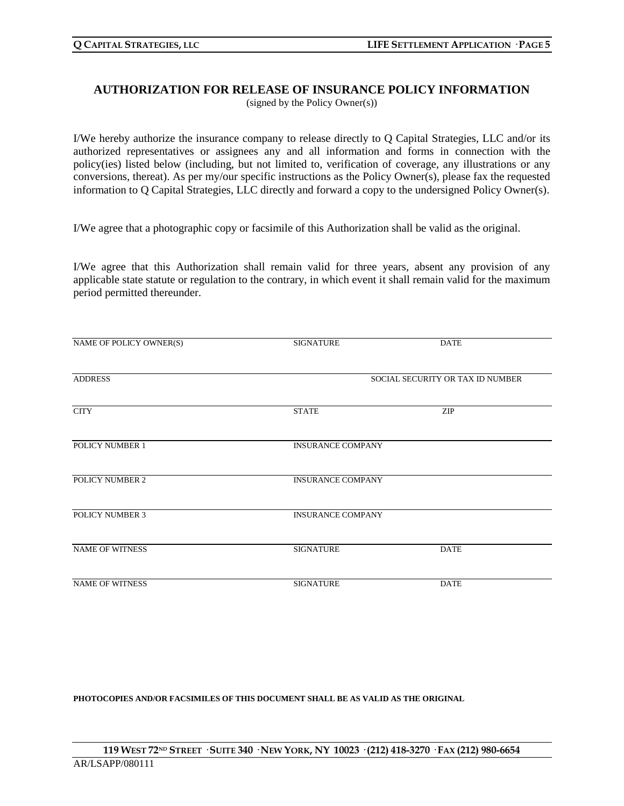### **AUTHORIZATION FOR RELEASE OF INSURANCE POLICY INFORMATION** (signed by the Policy Owner(s))

I/We hereby authorize the insurance company to release directly to Q Capital Strategies, LLC and/or its authorized representatives or assignees any and all information and forms in connection with the policy(ies) listed below (including, but not limited to, verification of coverage, any illustrations or any conversions, thereat). As per my/our specific instructions as the Policy Owner(s), please fax the requested information to Q Capital Strategies, LLC directly and forward a copy to the undersigned Policy Owner(s).

I/We agree that a photographic copy or facsimile of this Authorization shall be valid as the original.

I/We agree that this Authorization shall remain valid for three years, absent any provision of any applicable state statute or regulation to the contrary, in which event it shall remain valid for the maximum period permitted thereunder.

| NAME OF POLICY OWNER(S) | <b>SIGNATURE</b>                 | <b>DATE</b> |  |
|-------------------------|----------------------------------|-------------|--|
| <b>ADDRESS</b>          | SOCIAL SECURITY OR TAX ID NUMBER |             |  |
| <b>CITY</b>             | <b>STATE</b>                     | <b>ZIP</b>  |  |
| POLICY NUMBER 1         | <b>INSURANCE COMPANY</b>         |             |  |
| POLICY NUMBER 2         | <b>INSURANCE COMPANY</b>         |             |  |
| <b>POLICY NUMBER 3</b>  | <b>INSURANCE COMPANY</b>         |             |  |
| <b>NAME OF WITNESS</b>  | <b>SIGNATURE</b>                 | <b>DATE</b> |  |
| <b>NAME OF WITNESS</b>  | <b>SIGNATURE</b>                 | <b>DATE</b> |  |

**PHOTOCOPIES AND/OR FACSIMILES OF THIS DOCUMENT SHALL BE AS VALID AS THE ORIGINAL**